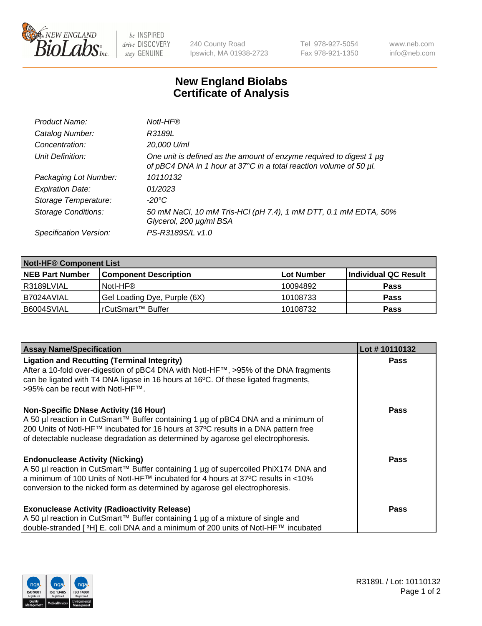

be INSPIRED drive DISCOVERY stay GENUINE

240 County Road Ipswich, MA 01938-2723 Tel 978-927-5054 Fax 978-921-1350 www.neb.com info@neb.com

## **New England Biolabs Certificate of Analysis**

| Product Name:              | Notl-HF®                                                                                                                                  |
|----------------------------|-------------------------------------------------------------------------------------------------------------------------------------------|
| Catalog Number:            | R3189L                                                                                                                                    |
| Concentration:             | 20,000 U/ml                                                                                                                               |
| Unit Definition:           | One unit is defined as the amount of enzyme required to digest 1 µg<br>of pBC4 DNA in 1 hour at 37°C in a total reaction volume of 50 µl. |
| Packaging Lot Number:      | 10110132                                                                                                                                  |
| <b>Expiration Date:</b>    | 01/2023                                                                                                                                   |
| Storage Temperature:       | -20°C                                                                                                                                     |
| <b>Storage Conditions:</b> | 50 mM NaCl, 10 mM Tris-HCl (pH 7.4), 1 mM DTT, 0.1 mM EDTA, 50%<br>Glycerol, 200 µg/ml BSA                                                |
| Specification Version:     | PS-R3189S/L v1.0                                                                                                                          |

| <b>Notl-HF® Component List</b> |                              |            |                      |  |  |
|--------------------------------|------------------------------|------------|----------------------|--|--|
| <b>NEB Part Number</b>         | <b>Component Description</b> | Lot Number | Individual QC Result |  |  |
| R3189LVIAL                     | Notl-HF®                     | 10094892   | <b>Pass</b>          |  |  |
| I B7024AVIAL                   | Gel Loading Dye, Purple (6X) | 10108733   | <b>Pass</b>          |  |  |
| IB6004SVIAL                    | rCutSmart™ Buffer            | 10108732   | <b>Pass</b>          |  |  |

| <b>Assay Name/Specification</b>                                                                                                                                        | Lot #10110132 |
|------------------------------------------------------------------------------------------------------------------------------------------------------------------------|---------------|
| <b>Ligation and Recutting (Terminal Integrity)</b><br>After a 10-fold over-digestion of pBC4 DNA with Notl-HF™, >95% of the DNA fragments                              | <b>Pass</b>   |
| can be ligated with T4 DNA ligase in 16 hours at 16°C. Of these ligated fragments,<br>>95% can be recut with Notl-HF™.                                                 |               |
| <b>Non-Specific DNase Activity (16 Hour)</b>                                                                                                                           | Pass          |
| A 50 µl reaction in CutSmart™ Buffer containing 1 µg of pBC4 DNA and a minimum of                                                                                      |               |
| 200 Units of Notl-HF™ incubated for 16 hours at 37°C results in a DNA pattern free<br>of detectable nuclease degradation as determined by agarose gel electrophoresis. |               |
|                                                                                                                                                                        |               |
| <b>Endonuclease Activity (Nicking)</b>                                                                                                                                 | Pass          |
| A 50 µl reaction in CutSmart™ Buffer containing 1 µg of supercoiled PhiX174 DNA and                                                                                    |               |
| a minimum of 100 Units of Notl-HF™ incubated for 4 hours at 37°C results in <10%                                                                                       |               |
| conversion to the nicked form as determined by agarose gel electrophoresis.                                                                                            |               |
| <b>Exonuclease Activity (Radioactivity Release)</b>                                                                                                                    | <b>Pass</b>   |
| A 50 µl reaction in CutSmart™ Buffer containing 1 µg of a mixture of single and                                                                                        |               |
| double-stranded [ <sup>3</sup> H] E. coli DNA and a minimum of 200 units of Notl-HF™ incubated                                                                         |               |